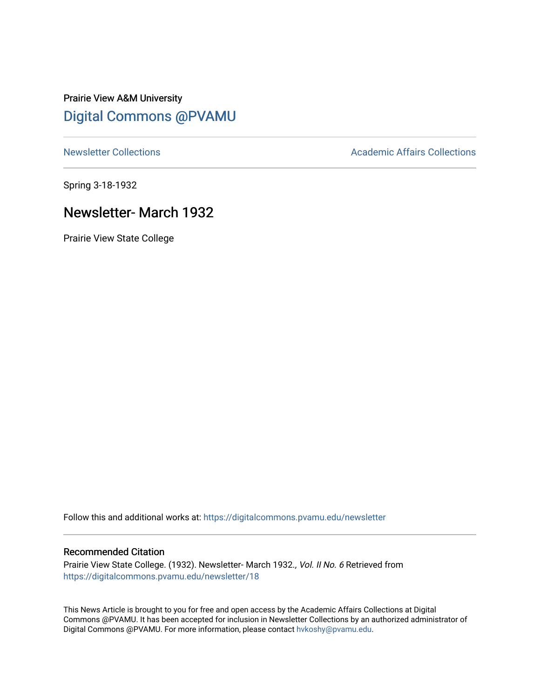## Prairie View A&M University [Digital Commons @PVAMU](https://digitalcommons.pvamu.edu/)

[Newsletter Collections](https://digitalcommons.pvamu.edu/newsletter) **Academic Affairs Collections Academic Affairs Collections** 

Spring 3-18-1932

## Newsletter- March 1932

Prairie View State College

Follow this and additional works at: [https://digitalcommons.pvamu.edu/newsletter](https://digitalcommons.pvamu.edu/newsletter?utm_source=digitalcommons.pvamu.edu%2Fnewsletter%2F18&utm_medium=PDF&utm_campaign=PDFCoverPages) 

## Recommended Citation

Prairie View State College. (1932). Newsletter- March 1932., Vol. II No. 6 Retrieved from [https://digitalcommons.pvamu.edu/newsletter/18](https://digitalcommons.pvamu.edu/newsletter/18?utm_source=digitalcommons.pvamu.edu%2Fnewsletter%2F18&utm_medium=PDF&utm_campaign=PDFCoverPages) 

This News Article is brought to you for free and open access by the Academic Affairs Collections at Digital Commons @PVAMU. It has been accepted for inclusion in Newsletter Collections by an authorized administrator of Digital Commons @PVAMU. For more information, please contact [hvkoshy@pvamu.edu.](mailto:hvkoshy@pvamu.edu)